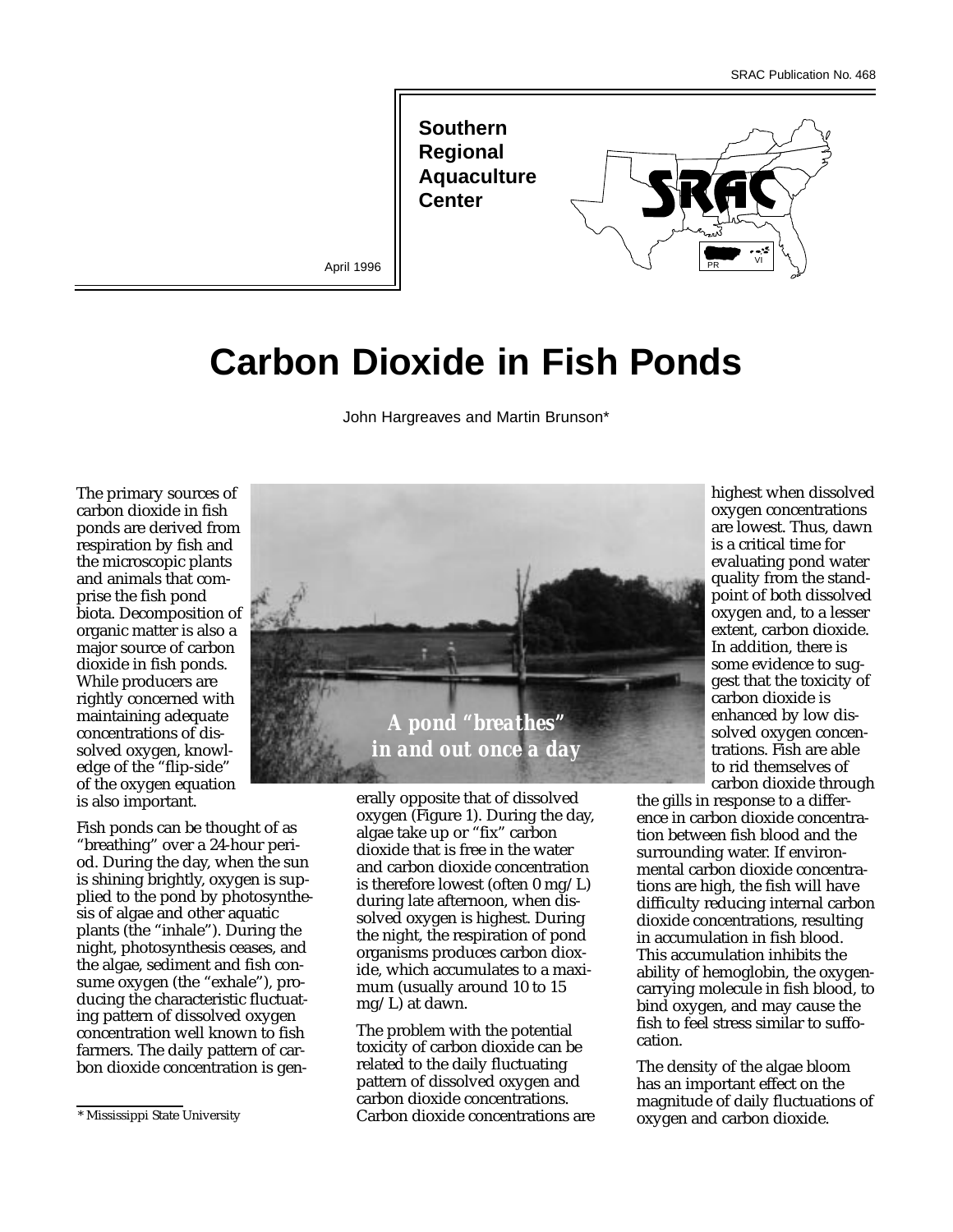**Southern Regional Aquaculture Center** 



April 1996

# **Carbon Dioxide in Fish Ponds**

John Hargreaves and Martin Brunson\*

The primary sources of carbon dioxide in fish ponds are derived from respiration by fish and the microscopic plants and animals that comprise the fish pond biota. Decomposition of organic matter is also a major source of carbon dioxide in fish ponds. While producers are rightly concerned with maintaining adequate concentrations of dissolved oxygen, knowledge of the "flip-side" of the oxygen equation is also important.

Fish ponds can be thought of as "breathing" over a 24-hour period. During the day, when the sun is shining brightly, oxygen is supplied to the pond by photosynthesis of algae and other aquatic plants (the "inhale"). During the night, photosynthesis ceases, and the algae, sediment and fish consume oxygen (the "exhale"), producing the characteristic fluctuating pattern of dissolved oxygen concentration well known to fish farmers. The daily pattern of carbon dioxide concentration is gen-



erally opposite that of dissolved oxygen (Figure 1). During the day, algae take up or "fix" carbon dioxide that is free in the water and carbon dioxide concentration is therefore lowest (often 0 mg/L) during late afternoon, when dissolved oxygen is highest. During the night, the respiration of pond organisms produces carbon dioxide, which accumulates to a maximum (usually around 10 to 15 mg/L) at dawn.

The problem with the potential toxicity of carbon dioxide can be related to the daily fluctuating pattern of dissolved oxygen and carbon dioxide concentrations. Carbon dioxide concentrations are highest when dissolved oxygen concentrations are lowest. Thus, dawn is a critical time for evaluating pond water quality from the standpoint of both dissolved oxygen and, to a lesser extent, carbon dioxide. In addition, there is some evidence to suggest that the toxicity of carbon dioxide is enhanced by low dissolved oxygen concentrations. Fish are able to rid themselves of carbon dioxide through

the gills in response to a difference in carbon dioxide concentration between fish blood and the surrounding water. If environmental carbon dioxide concentrations are high, the fish will have difficulty reducing internal carbon dioxide concentrations, resulting in accumulation in fish blood. This accumulation inhibits the ability of hemoglobin, the oxygencarrying molecule in fish blood, to bind oxygen, and may cause the fish to feel stress similar to suffocation.

The density of the algae bloom has an important effect on the magnitude of daily fluctuations of oxygen and carbon dioxide.

<sup>\*</sup> Mississippi State University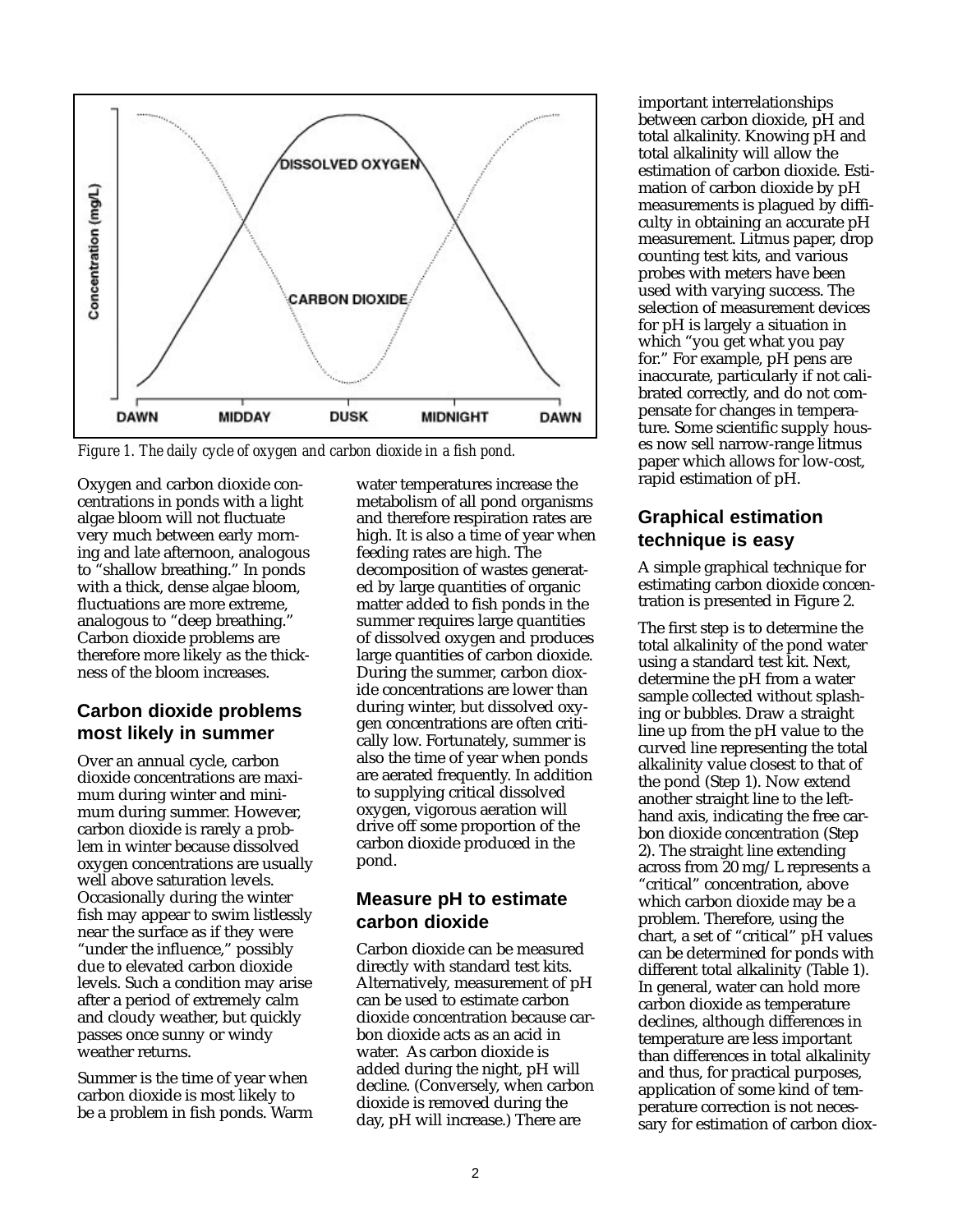

*Figure 1. The daily cycle of oxygen and carbon dioxide in a fish pond.*

Oxygen and carbon dioxide concentrations in ponds with a light algae bloom will not fluctuate very much between early morning and late afternoon, analogous to "shallow breathing." In ponds with a thick, dense algae bloom, fluctuations are more extreme, analogous to "deep breathing." Carbon dioxide problems are therefore more likely as the thickness of the bloom increases.

#### **Carbon dioxide problems most likely in summer**

Over an annual cycle, carbon dioxide concentrations are maximum during winter and minimum during summer. However, carbon dioxide is rarely a problem in winter because dissolved oxygen concentrations are usually well above saturation levels. Occasionally during the winter fish may appear to swim listlessly near the surface as if they were "under the influence," possibly due to elevated carbon dioxide levels. Such a condition may arise after a period of extremely calm and cloudy weather, but quickly passes once sunny or windy weather returns.

Summer is the time of year when carbon dioxide is most likely to be a problem in fish ponds. Warm water temperatures increase the metabolism of all pond organisms and therefore respiration rates are high. It is also a time of year when feeding rates are high. The decomposition of wastes generated by large quantities of organic matter added to fish ponds in the summer requires large quantities of dissolved oxygen and produces large quantities of carbon dioxide. During the summer, carbon dioxide concentrations are lower than during winter, but dissolved oxygen concentrations are often critically low. Fortunately, summer is also the time of year when ponds are aerated frequently. In addition to supplying critical dissolved oxygen, vigorous aeration will drive off some proportion of the carbon dioxide produced in the pond.

### **Measure pH to estimate carbon dioxide**

Carbon dioxide can be measured directly with standard test kits. Alternatively, measurement of pH can be used to estimate carbon dioxide concentration because carbon dioxide acts as an acid in water. As carbon dioxide is added during the night, pH will decline. (Conversely, when carbon dioxide is removed during the day, pH will increase.) There are

important interrelationships between carbon dioxide, pH and total alkalinity. Knowing pH and total alkalinity will allow the estimation of carbon dioxide. Estimation of carbon dioxide by pH measurements is plagued by difficulty in obtaining an accurate pH measurement. Litmus paper, drop counting test kits, and various probes with meters have been used with varying success. The selection of measurement devices for pH is largely a situation in which "you get what you pay for." For example, pH pens are inaccurate, particularly if not calibrated correctly, and do not compensate for changes in temperature. Some scientific supply houses now sell narrow-range litmus paper which allows for low-cost, rapid estimation of pH.

## **Graphical estimation technique is easy**

A simple graphical technique for estimating carbon dioxide concentration is presented in Figure 2.

The first step is to determine the total alkalinity of the pond water using a standard test kit. Next, determine the pH from a water sample collected without splashing or bubbles. Draw a straight line up from the pH value to the curved line representing the total alkalinity value closest to that of the pond (Step 1). Now extend another straight line to the lefthand axis, indicating the free carbon dioxide concentration (Step 2). The straight line extending across from 20 mg/L represents a "critical" concentration, above which carbon dioxide may be a problem. Therefore, using the chart, a set of "critical" pH values can be determined for ponds with different total alkalinity (Table 1). In general, water can hold more carbon dioxide as temperature declines, although differences in temperature are less important than differences in total alkalinity and thus, for practical purposes, application of some kind of temperature correction is not necessary for estimation of carbon diox-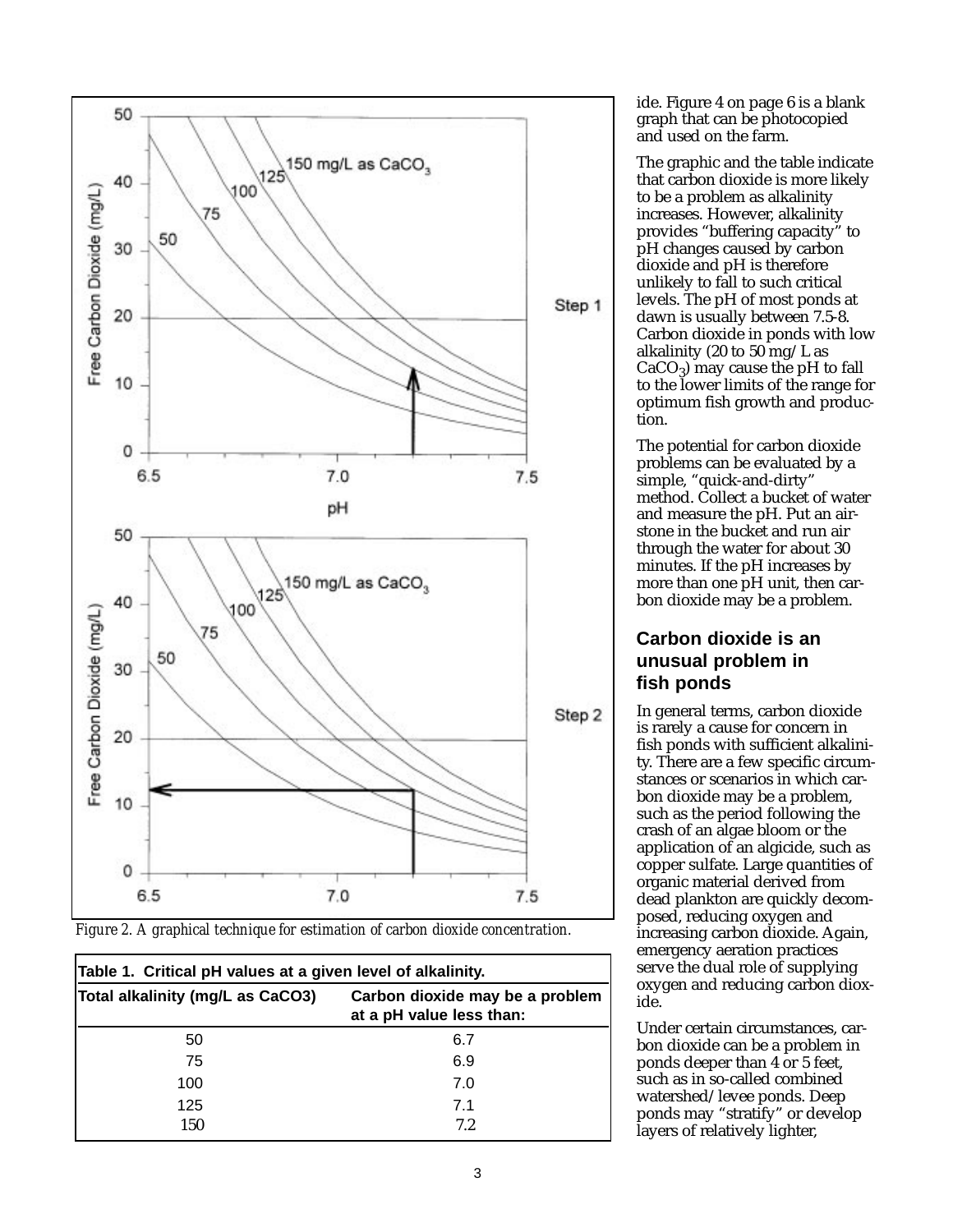

*Figure 2. A graphical technique for estimation of carbon dioxide concentration.*

| Table 1. Critical pH values at a given level of alkalinity. |                                                             |  |  |
|-------------------------------------------------------------|-------------------------------------------------------------|--|--|
| Total alkalinity (mg/L as CaCO3)                            | Carbon dioxide may be a problem<br>at a pH value less than: |  |  |
| 50                                                          | 6.7                                                         |  |  |
| 75                                                          | 6.9                                                         |  |  |
| 100                                                         | 7.0                                                         |  |  |
| 125                                                         | 7.1                                                         |  |  |
| 150                                                         | 7.2                                                         |  |  |

ide. Figure 4 on page 6 is a blank graph that can be photocopied and used on the farm.

The graphic and the table indicate that carbon dioxide is more likely to be a problem as alkalinity increases. However, alkalinity provides "buffering capacity" to pH changes caused by carbon dioxide and pH is therefore unlikely to fall to such critical levels. The pH of most ponds at dawn is usually between 7.5-8. Carbon dioxide in ponds with low alkalinity (20 to 50 mg/L as  $CaCO<sub>3</sub>$ ) may cause the pH to fall to the lower limits of the range for optimum fish growth and production.

The potential for carbon dioxide problems can be evaluated by a simple, "quick-and-dirty" method. Collect a bucket of water and measure the pH. Put an airstone in the bucket and run air through the water for about 30 minutes. If the pH increases by more than one pH unit, then carbon dioxide may be a problem.

## **Carbon dioxide is an unusual problem in fish ponds**

In general terms, carbon dioxide is rarely a cause for concern in fish ponds with sufficient alkalinity. There are a few specific circumstances or scenarios in which carbon dioxide may be a problem, such as the period following the crash of an algae bloom or the application of an algicide, such as copper sulfate. Large quantities of organic material derived from dead plankton are quickly decomposed, reducing oxygen and increasing carbon dioxide. Again, emergency aeration practices serve the dual role of supplying oxygen and reducing carbon dioxide.

Under certain circumstances, carbon dioxide can be a problem in ponds deeper than 4 or 5 feet, such as in so-called combined watershed/levee ponds. Deep ponds may "stratify" or develop layers of relatively lighter,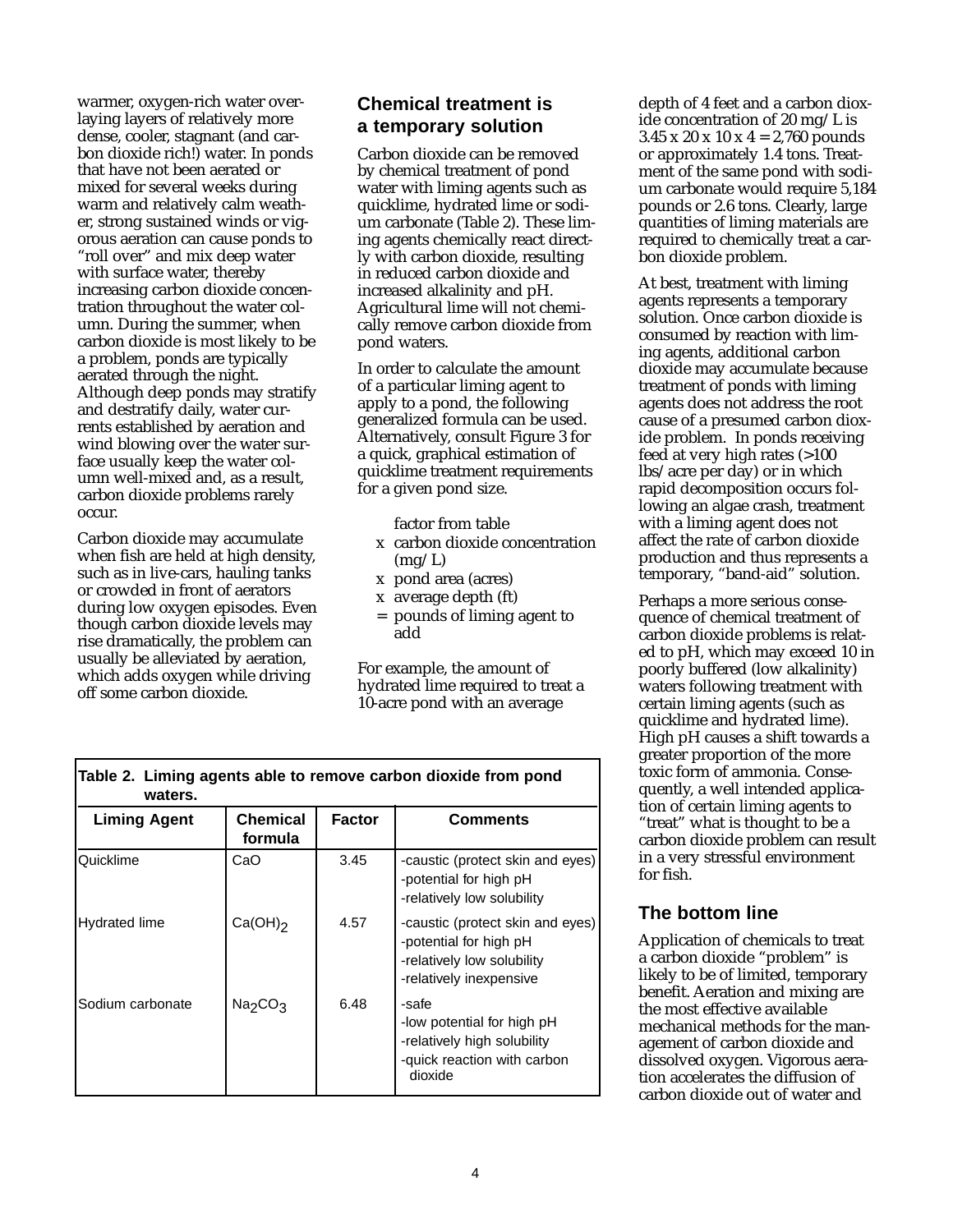warmer, oxygen-rich water overlaying layers of relatively more dense, cooler, stagnant (and carbon dioxide rich!) water. In ponds that have not been aerated or mixed for several weeks during warm and relatively calm weather, strong sustained winds or vigorous aeration can cause ponds to "roll over" and mix deep water with surface water, thereby increasing carbon dioxide concentration throughout the water column. During the summer, when carbon dioxide is most likely to be a problem, ponds are typically aerated through the night. Although deep ponds may stratify and destratify daily, water currents established by aeration and wind blowing over the water surface usually keep the water column well-mixed and, as a result, carbon dioxide problems rarely occur.

Carbon dioxide may accumulate when fish are held at high density, such as in live-cars, hauling tanks or crowded in front of aerators during low oxygen episodes. Even though carbon dioxide levels may rise dramatically, the problem can usually be alleviated by aeration, which adds oxygen while driving off some carbon dioxide.

## **Chemical treatment is a temporary solution**

Carbon dioxide can be removed by chemical treatment of pond water with liming agents such as quicklime, hydrated lime or sodium carbonate (Table 2). These liming agents chemically react directly with carbon dioxide, resulting in reduced carbon dioxide and increased alkalinity and pH. Agricultural lime will not chemically remove carbon dioxide from pond waters.

In order to calculate the amount of a particular liming agent to apply to a pond, the following generalized formula can be used. Alternatively, consult Figure 3 for a quick, graphical estimation of quicklime treatment requirements for a given pond size.

factor from table

- x carbon dioxide concentration  $(mg/L)$
- x pond area (acres)
- x average depth (ft)
- pounds of liming agent to add

For example, the amount of hydrated lime required to treat a 10-acre pond with an average

| waters.              |                                 |               |                                                                                                                     |
|----------------------|---------------------------------|---------------|---------------------------------------------------------------------------------------------------------------------|
| <b>Liming Agent</b>  | Chemical<br>formula             | <b>Factor</b> | Comments                                                                                                            |
| Quicklime            | CaO                             | 3.45          | -caustic (protect skin and eyes)<br>-potential for high pH<br>-relatively low solubility                            |
| <b>Hydrated lime</b> | $Ca(OH)_2$                      | 4.57          | -caustic (protect skin and eyes)<br>-potential for high pH<br>-relatively low solubility<br>-relatively inexpensive |
| Sodium carbonate     | Na <sub>2</sub> CO <sub>3</sub> | 6.48          | -safe<br>-low potential for high pH<br>-relatively high solubility<br>-quick reaction with carbon<br>dioxide        |

**Table 2. Liming agents able to remove carbon dioxide from pond** 

depth of 4 feet and a carbon dioxide concentration of 20 mg/L is  $3.45 \times 20 \times 10 \times 4 = 2,760$  pounds or approximately 1.4 tons. Treatment of the same pond with sodium carbonate would require 5,184 pounds or 2.6 tons. Clearly, large quantities of liming materials are required to chemically treat a carbon dioxide problem.

At best, treatment with liming agents represents a temporary solution. Once carbon dioxide is consumed by reaction with liming agents, additional carbon dioxide may accumulate because treatment of ponds with liming agents does not address the root cause of a presumed carbon dioxide problem. In ponds receiving feed at very high rates (>100 lbs/acre per day) or in which rapid decomposition occurs following an algae crash, treatment with a liming agent does not affect the rate of carbon dioxide production and thus represents a temporary, "band-aid" solution.

Perhaps a more serious consequence of chemical treatment of carbon dioxide problems is related to pH, which may exceed 10 in poorly buffered (low alkalinity) waters following treatment with certain liming agents (such as quicklime and hydrated lime). High pH causes a shift towards a greater proportion of the more toxic form of ammonia. Consequently, a well intended application of certain liming agents to "treat" what is thought to be a carbon dioxide problem can result in a very stressful environment for fish.

#### **The bottom line**

Application of chemicals to treat a carbon dioxide "problem" is likely to be of limited, temporary benefit. Aeration and mixing are the most effective available mechanical methods for the management of carbon dioxide and dissolved oxygen. Vigorous aeration accelerates the diffusion of carbon dioxide out of water and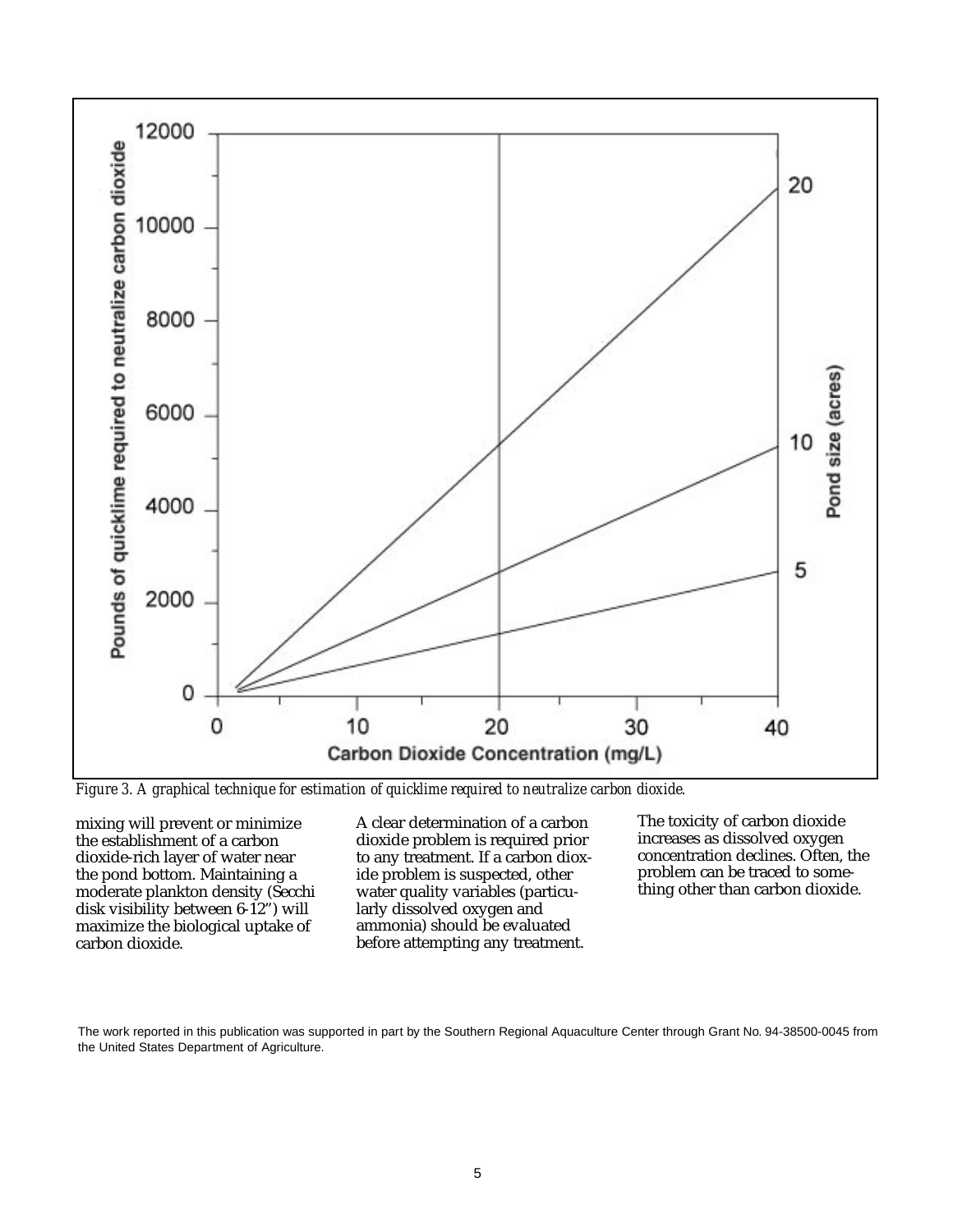

*Figure 3. A graphical technique for estimation of quicklime required to neutralize carbon dioxide.*

mixing will prevent or minimize the establishment of a carbon dioxide-rich layer of water near the pond bottom. Maintaining a moderate plankton density (Secchi disk visibility between 6-12") will maximize the biological uptake of carbon dioxide.

A clear determination of a carbon dioxide problem is required prior to any treatment. If a carbon dioxide problem is suspected, other water quality variables (particularly dissolved oxygen and ammonia) should be evaluated before attempting any treatment.

The toxicity of carbon dioxide increases as dissolved oxygen concentration declines. Often, the problem can be traced to something other than carbon dioxide.

The work reported in this publication was supported in part by the Southern Regional Aquaculture Center through Grant No. 94-38500-0045 from the United States Department of Agriculture.